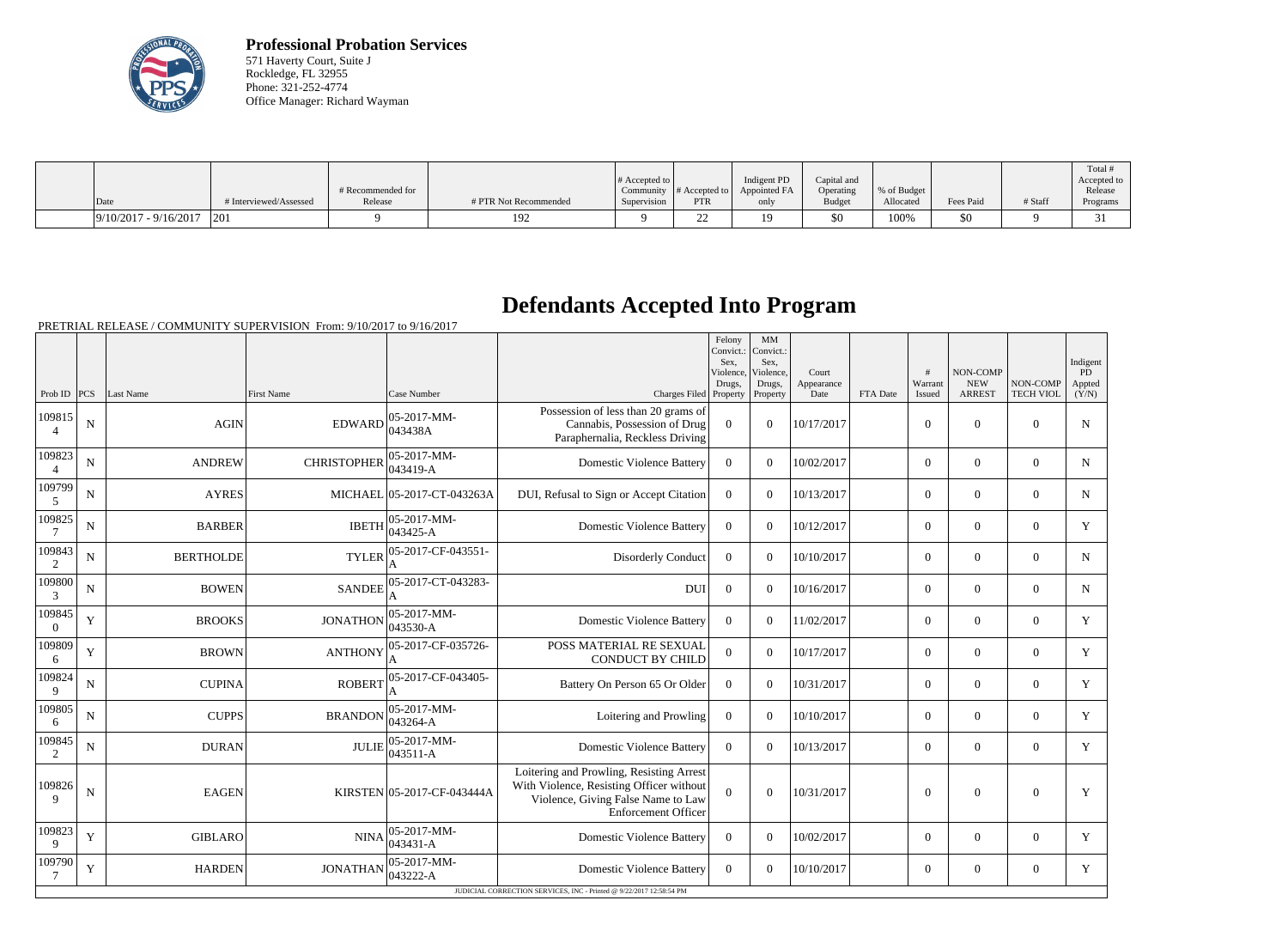

**Professional Probation Services** 571 Haverty Court, Suite J Rockledge, FL 32955 Phone: 321-252-4774 Office Manager: Richard Wayman

| Date                    | # Interviewed/Assessed | # Recommended for<br>Release | # PTR Not Recommended | # Accepted to<br>Community<br>Supervision | $\parallel$ # Accepted to $\parallel$<br>PTR | Indigent PD<br>Appointed FA<br>only | Capital and<br>Operating<br><b>Budget</b> | % of Budget<br>Allocated | Fees Paid | # Staff | Total<br>Accepted to<br>Release<br>Programs |
|-------------------------|------------------------|------------------------------|-----------------------|-------------------------------------------|----------------------------------------------|-------------------------------------|-------------------------------------------|--------------------------|-----------|---------|---------------------------------------------|
|                         |                        |                              |                       |                                           |                                              |                                     |                                           |                          |           |         |                                             |
| $9/10/2017 - 9/16/2017$ | $ 20\rangle$           |                              | 192                   |                                           | $\overline{\phantom{a}}$                     |                                     | \$0                                       | 100%                     | \$0       |         | ັ                                           |

## **Defendants Accepted Into Program**

PRETRIAL RELEASE / COMMUNITY SUPERVISION From: 9/10/2017 to 9/16/2017

| Prob ID $ PCS $                                                     |             | Last Name        | <b>First Name</b>  | Case Number                     |                                                                                                                                                          | Felony<br>Convict.:<br>Sex.<br>Drugs, | MM<br>Convict.:<br>Sex.<br>Violence, Violence,<br>Drugs, | Court<br>Appearance<br>Date | FTA Date | #<br>Warrant<br>Issued | <b>NON-COMP</b><br><b>NEW</b><br><b>ARREST</b> | NON-COMP<br><b>TECH VIOL</b> | Indigent<br>PD<br>Appted<br>(Y/N) |
|---------------------------------------------------------------------|-------------|------------------|--------------------|---------------------------------|----------------------------------------------------------------------------------------------------------------------------------------------------------|---------------------------------------|----------------------------------------------------------|-----------------------------|----------|------------------------|------------------------------------------------|------------------------------|-----------------------------------|
| 109815                                                              | ${\bf N}$   | <b>AGIN</b>      | <b>EDWARD</b>      | $ 05-2017-MM-$<br>043438A       | Charges Filed Property<br>Possession of less than 20 grams of<br>Cannabis, Possession of Drug<br>Paraphernalia, Reckless Driving                         | $\Omega$                              | Property<br>$\theta$                                     | 10/17/2017                  |          | $\boldsymbol{0}$       | $\theta$                                       | $\overline{0}$               | $\mathbf N$                       |
| 109823<br>$\overline{4}$                                            | $\mathbf N$ | <b>ANDREW</b>    | <b>CHRISTOPHER</b> | 05-2017-MM-<br>043419-A         | <b>Domestic Violence Battery</b>                                                                                                                         | $\Omega$                              | $\theta$                                                 | 10/02/2017                  |          | $\overline{0}$         | $\theta$                                       | $\overline{0}$               | $\mathbf N$                       |
| 109799<br>5                                                         | $\mathbf N$ | <b>AYRES</b>     |                    | MICHAEL 05-2017-CT-043263A      | DUI, Refusal to Sign or Accept Citation                                                                                                                  | $\Omega$                              | $\Omega$                                                 | 10/13/2017                  |          | $\theta$               | $\theta$                                       | $\theta$                     | $\mathbf N$                       |
| 109825                                                              | ${\bf N}$   | <b>BARBER</b>    | <b>IBETH</b>       | 05-2017-MM-<br>043425-A         | <b>Domestic Violence Battery</b>                                                                                                                         | $\theta$                              | $\theta$                                                 | 10/12/2017                  |          | $\theta$               | $\theta$                                       | $\theta$                     | Y                                 |
| 109843<br>2                                                         | $\mathbf N$ | <b>BERTHOLDE</b> | <b>TYLER</b>       | 05-2017-CF-043551-              | <b>Disorderly Conduct</b>                                                                                                                                | $\Omega$                              | $\theta$                                                 | 10/10/2017                  |          | $\theta$               | $\theta$                                       | $\overline{0}$               | $\mathbf N$                       |
| 109800<br>3                                                         | $\mathbf N$ | <b>BOWEN</b>     | <b>SANDEE</b>      | 05-2017-CT-043283-              | <b>DUI</b>                                                                                                                                               | $\overline{0}$                        | $\Omega$                                                 | 10/16/2017                  |          | $\overline{0}$         | $\mathbf{0}$                                   | $\mathbf{0}$                 | N                                 |
| 109845<br>$\Omega$                                                  | $\mathbf Y$ | <b>BROOKS</b>    | <b>JONATHON</b>    | 05-2017-MM-<br>043530-A         | <b>Domestic Violence Battery</b>                                                                                                                         | $\overline{0}$                        | $\Omega$                                                 | 11/02/2017                  |          | $\overline{0}$         | $\mathbf{0}$                                   | $\mathbf{0}$                 | Y                                 |
| 109809<br>6                                                         | $\mathbf Y$ | <b>BROWN</b>     | <b>ANTHONY</b>     | 05-2017-CF-035726-<br>A         | POSS MATERIAL RE SEXUAL<br><b>CONDUCT BY CHILD</b>                                                                                                       | $\overline{0}$                        | $\overline{0}$                                           | 10/17/2017                  |          | $\overline{0}$         | $\mathbf{0}$                                   | $\mathbf{0}$                 | $\mathbf Y$                       |
| 109824<br>9                                                         | N           | <b>CUPINA</b>    | <b>ROBERT</b>      | 05-2017-CF-043405-<br>A         | Battery On Person 65 Or Older                                                                                                                            | $\mathbf{0}$                          | $\Omega$                                                 | 10/31/2017                  |          | $\Omega$               | $\Omega$                                       | $\theta$                     | $\mathbf Y$                       |
| 109805<br>6                                                         | N           | <b>CUPPS</b>     | <b>BRANDON</b>     | $ 05 - 2017 - MM -$<br>043264-A | Loitering and Prowling                                                                                                                                   | $\overline{0}$                        | $\theta$                                                 | 10/10/2017                  |          | $\overline{0}$         | $\mathbf{0}$                                   | $\overline{0}$               | Y                                 |
| 109845                                                              | N           | <b>DURAN</b>     | <b>JULIE</b>       | $ 05-2017-MM-$<br>043511-A      | <b>Domestic Violence Battery</b>                                                                                                                         | $\Omega$                              | $\theta$                                                 | 10/13/2017                  |          | $\theta$               | $\theta$                                       | $\theta$                     | Y                                 |
| 109826<br>$\mathbf Q$                                               | ${\bf N}$   | <b>EAGEN</b>     |                    | KIRSTEN 05-2017-CF-043444A      | Loitering and Prowling, Resisting Arrest<br>With Violence, Resisting Officer without<br>Violence, Giving False Name to Law<br><b>Enforcement Officer</b> | $\Omega$                              | $\Omega$                                                 | 10/31/2017                  |          | $\Omega$               | $\Omega$                                       | $\overline{0}$               | Y                                 |
| 109823<br>9                                                         | $\mathbf Y$ | <b>GIBLARO</b>   | NINA               | $ 05-2017-MM-$<br>043431-A      | <b>Domestic Violence Battery</b>                                                                                                                         | $\Omega$                              | $\theta$                                                 | 10/02/2017                  |          | $\theta$               | $\theta$                                       | $\overline{0}$               | Y                                 |
| 109790                                                              | $\mathbf Y$ | <b>HARDEN</b>    | <b>JONATHAN</b>    | $ 05-2017-MM-$<br>$043222 - A$  | <b>Domestic Violence Battery</b>                                                                                                                         | $\Omega$                              | $\Omega$                                                 | 10/10/2017                  |          | $\overline{0}$         | $\theta$                                       | $\overline{0}$               | Y                                 |
| JUDICIAL CORRECTION SERVICES, INC - Printed @ 9/22/2017 12:58:54 PM |             |                  |                    |                                 |                                                                                                                                                          |                                       |                                                          |                             |          |                        |                                                |                              |                                   |